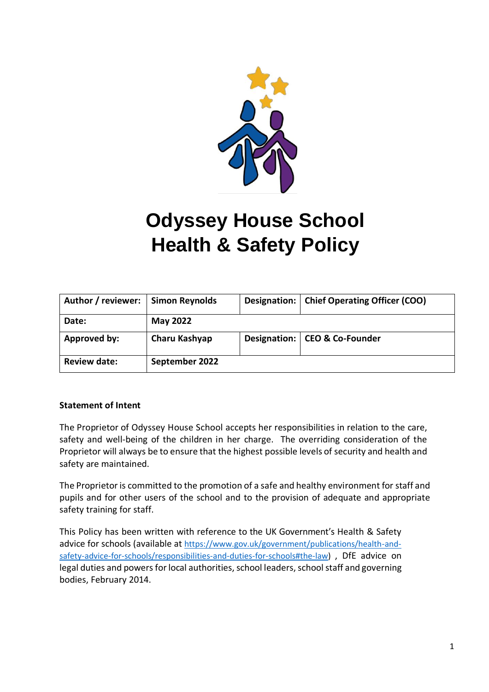

# **Odyssey House School Health & Safety Policy**

| Author / reviewer:  | <b>Simon Reynolds</b> | Designation: | <b>Chief Operating Officer (COO)</b> |
|---------------------|-----------------------|--------------|--------------------------------------|
| Date:               | <b>May 2022</b>       |              |                                      |
| Approved by:        | Charu Kashyap         |              | Designation:   CEO & Co-Founder      |
| <b>Review date:</b> | September 2022        |              |                                      |

# **Statement of Intent**

The Proprietor of Odyssey House School accepts her responsibilities in relation to the care, safety and well-being of the children in her charge. The overriding consideration of the Proprietor will always be to ensure that the highest possible levels of security and health and safety are maintained.

The Proprietor is committed to the promotion of a safe and healthy environment for staff and pupils and for other users of the school and to the provision of adequate and appropriate safety training for staff.

This Policy has been written with reference to the UK Government's Health & Safety advice for schools (available at [https://www.gov.uk/government/publications/health-and](https://www.gov.uk/government/publications/health-and-safety-advice-for-schools/responsibilities-and-duties-for-schools#the-law)[safety-advice-for-schools/responsibilities-and-duties-for-schools#the-law\)](https://www.gov.uk/government/publications/health-and-safety-advice-for-schools/responsibilities-and-duties-for-schools#the-law) , DfE advice on legal duties and powers for local authorities, school leaders, school staff and governing bodies, February 2014.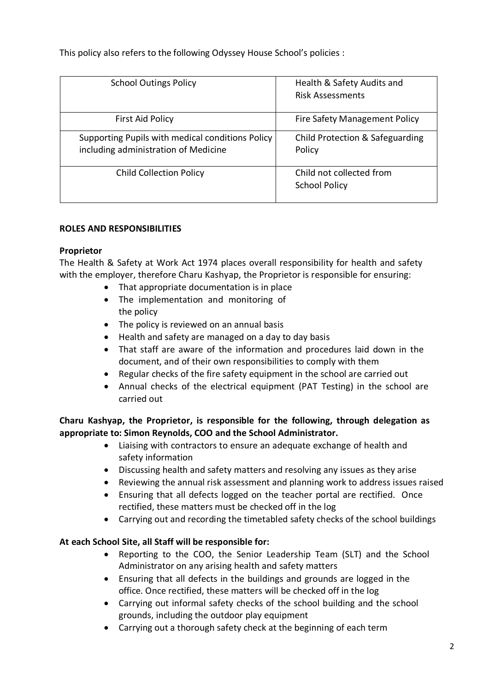This policy also refers to the following Odyssey House School's policies :

| <b>School Outings Policy</b>                                                             | Health & Safety Audits and<br><b>Risk Assessments</b> |
|------------------------------------------------------------------------------------------|-------------------------------------------------------|
| First Aid Policy                                                                         | Fire Safety Management Policy                         |
| Supporting Pupils with medical conditions Policy<br>including administration of Medicine | Child Protection & Safeguarding<br>Policy             |
| <b>Child Collection Policy</b>                                                           | Child not collected from<br><b>School Policy</b>      |

# **ROLES AND RESPONSIBILITIES**

# **Proprietor**

The Health & Safety at Work Act 1974 places overall responsibility for health and safety with the employer, therefore Charu Kashyap, the Proprietor is responsible for ensuring:

- That appropriate documentation is in place
- The implementation and monitoring of the policy
- The policy is reviewed on an annual basis
- Health and safety are managed on a day to day basis
- That staff are aware of the information and procedures laid down in the document, and of their own responsibilities to comply with them
- Regular checks of the fire safety equipment in the school are carried out
- Annual checks of the electrical equipment (PAT Testing) in the school are carried out

# **Charu Kashyap, the Proprietor, is responsible for the following, through delegation as appropriate to: Simon Reynolds, COO and the School Administrator.**

- Liaising with contractors to ensure an adequate exchange of health and safety information
- Discussing health and safety matters and resolving any issues as they arise
- Reviewing the annual risk assessment and planning work to address issues raised
- Ensuring that all defects logged on the teacher portal are rectified. Once rectified, these matters must be checked off in the log
- Carrying out and recording the timetabled safety checks of the school buildings

# **At each School Site, all Staff will be responsible for:**

- Reporting to the COO, the Senior Leadership Team (SLT) and the School Administrator on any arising health and safety matters
- Ensuring that all defects in the buildings and grounds are logged in the office. Once rectified, these matters will be checked off in the log
- Carrying out informal safety checks of the school building and the school grounds, including the outdoor play equipment
- Carrying out a thorough safety check at the beginning of each term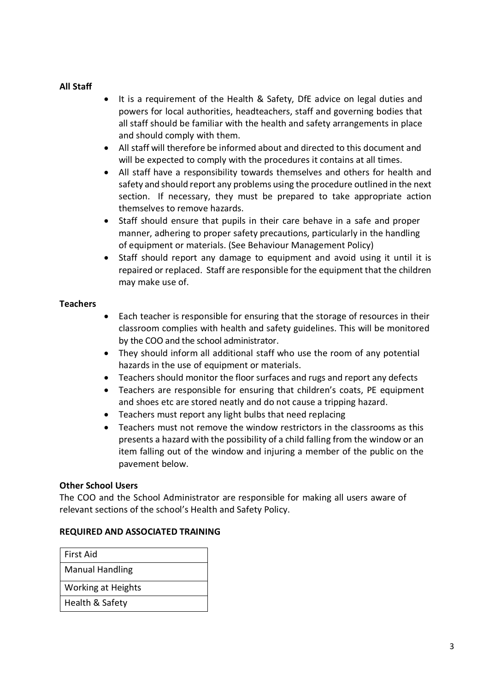# **All Staff**

- It is a requirement of the Health & Safety, DfE advice on legal duties and powers for local authorities, headteachers, staff and governing bodies that all staff should be familiar with the health and safety arrangements in place and should comply with them.
- All staff will therefore be informed about and directed to this document and will be expected to comply with the procedures it contains at all times.
- All staff have a responsibility towards themselves and others for health and safety and should report any problems using the procedure outlined in the next section. If necessary, they must be prepared to take appropriate action themselves to remove hazards.
- Staff should ensure that pupils in their care behave in a safe and proper manner, adhering to proper safety precautions, particularly in the handling of equipment or materials. (See Behaviour Management Policy)
- Staff should report any damage to equipment and avoid using it until it is repaired or replaced. Staff are responsible for the equipment that the children may make use of.

### **Teachers**

- Each teacher is responsible for ensuring that the storage of resources in their classroom complies with health and safety guidelines. This will be monitored by the COO and the school administrator.
- They should inform all additional staff who use the room of any potential hazards in the use of equipment or materials.
- Teachers should monitor the floor surfaces and rugs and report any defects
- Teachers are responsible for ensuring that children's coats, PE equipment and shoes etc are stored neatly and do not cause a tripping hazard.
- Teachers must report any light bulbs that need replacing
- Teachers must not remove the window restrictors in the classrooms as this presents a hazard with the possibility of a child falling from the window or an item falling out of the window and injuring a member of the public on the pavement below.

# **Other School Users**

The COO and the School Administrator are responsible for making all users aware of relevant sections of the school's Health and Safety Policy.

#### **REQUIRED AND ASSOCIATED TRAINING**

| First Aid                 |  |
|---------------------------|--|
| <b>Manual Handling</b>    |  |
| <b>Working at Heights</b> |  |
| Health & Safety           |  |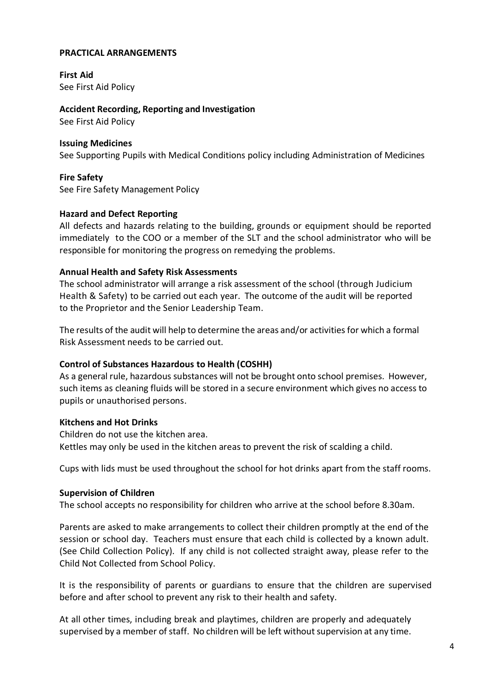#### **PRACTICAL ARRANGEMENTS**

**First Aid** See First Aid Policy

**Accident Recording, Reporting and Investigation** See First Aid Policy

# **Issuing Medicines**

See Supporting Pupils with Medical Conditions policy including Administration of Medicines

**Fire Safety** See Fire Safety Management Policy

### **Hazard and Defect Reporting**

All defects and hazards relating to the building, grounds or equipment should be reported immediately to the COO or a member of the SLT and the school administrator who will be responsible for monitoring the progress on remedying the problems.

### **Annual Health and Safety Risk Assessments**

The school administrator will arrange a risk assessment of the school (through Judicium Health & Safety) to be carried out each year. The outcome of the audit will be reported to the Proprietor and the Senior Leadership Team.

The results of the audit will help to determine the areas and/or activities for which a formal Risk Assessment needs to be carried out.

# **Control of Substances Hazardous to Health (COSHH)**

As a general rule, hazardous substances will not be brought onto school premises. However, such items as cleaning fluids will be stored in a secure environment which gives no access to pupils or unauthorised persons.

# **Kitchens and Hot Drinks**

Children do not use the kitchen area. Kettles may only be used in the kitchen areas to prevent the risk of scalding a child.

Cups with lids must be used throughout the school for hot drinks apart from the staff rooms.

#### **Supervision of Children**

The school accepts no responsibility for children who arrive at the school before 8.30am.

Parents are asked to make arrangements to collect their children promptly at the end of the session or school day. Teachers must ensure that each child is collected by a known adult. (See Child Collection Policy). If any child is not collected straight away, please refer to the Child Not Collected from School Policy.

It is the responsibility of parents or guardians to ensure that the children are supervised before and after school to prevent any risk to their health and safety.

At all other times, including break and playtimes, children are properly and adequately supervised by a member of staff. No children will be left without supervision at any time.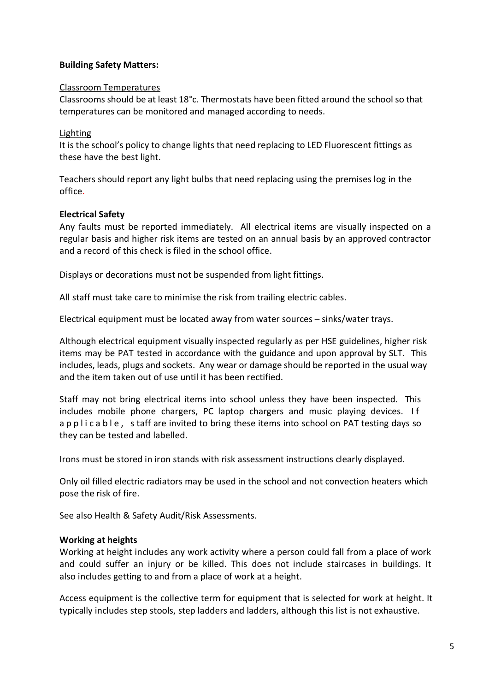### **Building Safety Matters:**

#### Classroom Temperatures

Classrooms should be at least 18°c. Thermostats have been fitted around the school so that temperatures can be monitored and managed according to needs.

#### Lighting

It is the school's policy to change lights that need replacing to LED Fluorescent fittings as these have the best light.

Teachers should report any light bulbs that need replacing using the premises log in the office.

### **Electrical Safety**

Any faults must be reported immediately. All electrical items are visually inspected on a regular basis and higher risk items are tested on an annual basis by an approved contractor and a record of this check is filed in the school office.

Displays or decorations must not be suspended from light fittings.

All staff must take care to minimise the risk from trailing electric cables.

Electrical equipment must be located away from water sources – sinks/water trays.

Although electrical equipment visually inspected regularly as per HSE guidelines, higher risk items may be PAT tested in accordance with the guidance and upon approval by SLT. This includes, leads, plugs and sockets. Any wear or damage should be reported in the usual way and the item taken out of use until it has been rectified.

Staff may not bring electrical items into school unless they have been inspected. This includes mobile phone chargers, PC laptop chargers and music playing devices. I f a p p l i c a b l e, s taff are invited to bring these items into school on PAT testing days so they can be tested and labelled.

Irons must be stored in iron stands with risk assessment instructions clearly displayed.

Only oil filled electric radiators may be used in the school and not convection heaters which pose the risk of fire.

See also Health & Safety Audit/Risk Assessments.

#### **Working at heights**

Working at height includes any work activity where a person could fall from a place of work and could suffer an injury or be killed. This does not include staircases in buildings. It also includes getting to and from a place of work at a height.

Access equipment is the collective term for equipment that is selected for work at height. It typically includes step stools, step ladders and ladders, although this list is not exhaustive.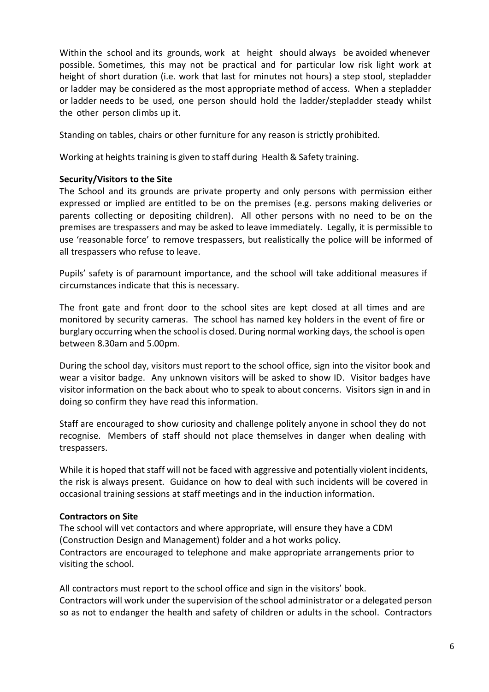Within the school and its grounds, work at height should always be avoided whenever possible. Sometimes, this may not be practical and for particular low risk light work at height of short duration (i.e. work that last for minutes not hours) a step stool, stepladder or ladder may be considered as the most appropriate method of access. When a stepladder or ladder needs to be used, one person should hold the ladder/stepladder steady whilst the other person climbs up it.

Standing on tables, chairs or other furniture for any reason is strictly prohibited.

Working at heights training is given to staff during Health & Safety training.

### **Security/Visitors to the Site**

The School and its grounds are private property and only persons with permission either expressed or implied are entitled to be on the premises (e.g. persons making deliveries or parents collecting or depositing children). All other persons with no need to be on the premises are trespassers and may be asked to leave immediately. Legally, it is permissible to use 'reasonable force' to remove trespassers, but realistically the police will be informed of all trespassers who refuse to leave.

Pupils' safety is of paramount importance, and the school will take additional measures if circumstances indicate that this is necessary.

The front gate and front door to the school sites are kept closed at all times and are monitored by security cameras. The school has named key holders in the event of fire or burglary occurring when the school is closed. During normal working days, the school is open between 8.30am and 5.00pm.

During the school day, visitors must report to the school office, sign into the visitor book and wear a visitor badge. Any unknown visitors will be asked to show ID. Visitor badges have visitor information on the back about who to speak to about concerns. Visitors sign in and in doing so confirm they have read this information.

Staff are encouraged to show curiosity and challenge politely anyone in school they do not recognise. Members of staff should not place themselves in danger when dealing with trespassers.

While it is hoped that staff will not be faced with aggressive and potentially violent incidents, the risk is always present. Guidance on how to deal with such incidents will be covered in occasional training sessions at staff meetings and in the induction information.

#### **Contractors on Site**

The school will vet contactors and where appropriate, will ensure they have a CDM (Construction Design and Management) folder and a hot works policy. Contractors are encouraged to telephone and make appropriate arrangements prior to visiting the school.

All contractors must report to the school office and sign in the visitors' book. Contractors will work under the supervision of the school administrator or a delegated person so as not to endanger the health and safety of children or adults in the school. Contractors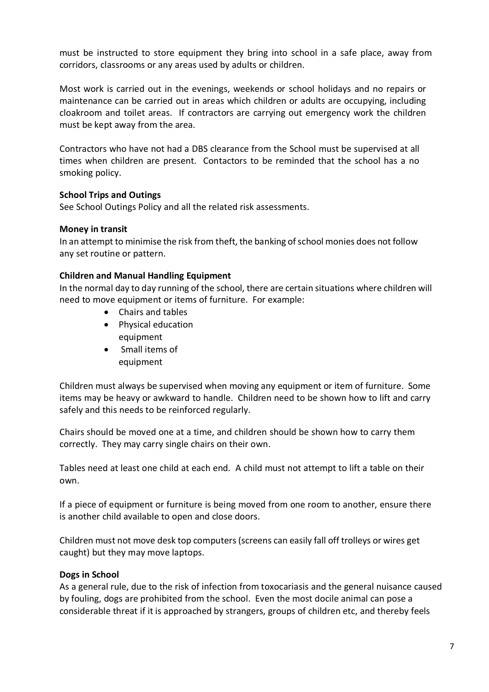must be instructed to store equipment they bring into school in a safe place, away from corridors, classrooms or any areas used by adults or children.

Most work is carried out in the evenings, weekends or school holidays and no repairs or maintenance can be carried out in areas which children or adults are occupying, including cloakroom and toilet areas. If contractors are carrying out emergency work the children must be kept away from the area.

Contractors who have not had a DBS clearance from the School must be supervised at all times when children are present. Contactors to be reminded that the school has a no smoking policy.

### **School Trips and Outings**

See School Outings Policy and all the related risk assessments.

#### **Money in transit**

In an attempt to minimise the risk from theft, the banking ofschool monies does not follow any set routine or pattern.

#### **Children and Manual Handling Equipment**

In the normal day to day running of the school, there are certain situations where children will need to move equipment or items of furniture. For example:

- Chairs and tables
- Physical education equipment
- Small items of equipment

Children must always be supervised when moving any equipment or item of furniture. Some items may be heavy or awkward to handle. Children need to be shown how to lift and carry safely and this needs to be reinforced regularly.

Chairs should be moved one at a time, and children should be shown how to carry them correctly. They may carry single chairs on their own.

Tables need at least one child at each end. A child must not attempt to lift a table on their own.

If a piece of equipment or furniture is being moved from one room to another, ensure there is another child available to open and close doors.

Children must not move desk top computers(screens can easily fall off trolleys or wires get caught) but they may move laptops.

#### **Dogs in School**

As a general rule, due to the risk of infection from toxocariasis and the general nuisance caused by fouling, dogs are prohibited from the school. Even the most docile animal can pose a considerable threat if it is approached by strangers, groups of children etc, and thereby feels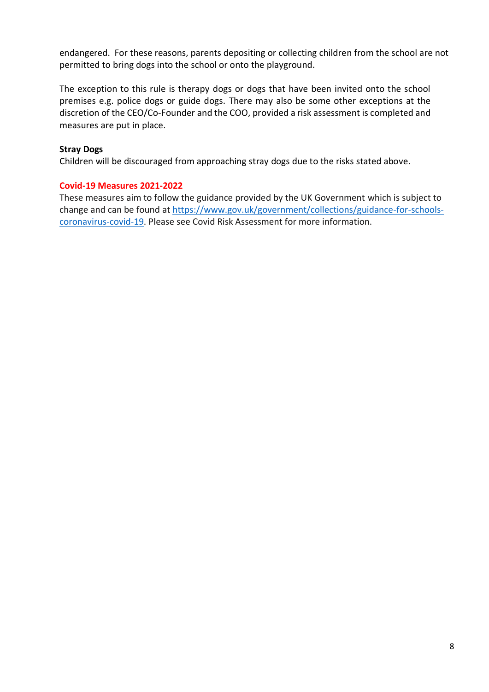endangered. For these reasons, parents depositing or collecting children from the school are not permitted to bring dogs into the school or onto the playground.

The exception to this rule is therapy dogs or dogs that have been invited onto the school premises e.g. police dogs or guide dogs. There may also be some other exceptions at the discretion of the CEO/Co-Founder and the COO, provided a risk assessment is completed and measures are put in place.

#### **Stray Dogs**

Children will be discouraged from approaching stray dogs due to the risks stated above.

### **Covid-19 Measures 2021-2022**

These measures aim to follow the guidance provided by the UK Government which is subject to change and can be found at [https://www.gov.uk/government/collections/guidance-for-schools](https://www.gov.uk/government/collections/guidance-for-schools-coronavirus-covid-19)[coronavirus-covid-19.](https://www.gov.uk/government/collections/guidance-for-schools-coronavirus-covid-19) Please see Covid Risk Assessment for more information.